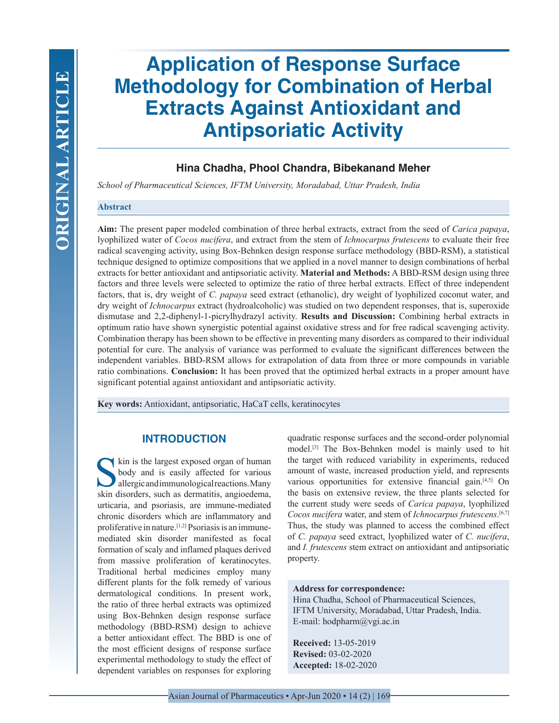# **Application of Response Surface Methodology for Combination of Herbal Extracts Against Antioxidant and Antipsoriatic Activity**

# **Hina Chadha, Phool Chandra, Bibekanand Meher**

*School of Pharmaceutical Sciences, IFTM University, Moradabad, Uttar Pradesh, India*

# **Abstract**

**Aim:** The present paper modeled combination of three herbal extracts, extract from the seed of *Carica papaya*, lyophilized water of *Cocos nucifera*, and extract from the stem of *Ichnocarpus frutescens* to evaluate their free radical scavenging activity, using Box-Behnken design response surface methodology (BBD-RSM), a statistical technique designed to optimize compositions that we applied in a novel manner to design combinations of herbal extracts for better antioxidant and antipsoriatic activity. **Material and Methods:** A BBD-RSM design using three factors and three levels were selected to optimize the ratio of three herbal extracts. Effect of three independent factors, that is, dry weight of *C. papaya* seed extract (ethanolic), dry weight of lyophilized coconut water, and dry weight of *Ichnocarpus* extract (hydroalcoholic) was studied on two dependent responses, that is, superoxide dismutase and 2,2-diphenyl-1-picrylhydrazyl activity. **Results and Discussion:** Combining herbal extracts in optimum ratio have shown synergistic potential against oxidative stress and for free radical scavenging activity. Combination therapy has been shown to be effective in preventing many disorders as compared to their individual potential for cure. The analysis of variance was performed to evaluate the significant differences between the independent variables. BBD-RSM allows for extrapolation of data from three or more compounds in variable ratio combinations. **Conclusion:** It has been proved that the optimized herbal extracts in a proper amount have significant potential against antioxidant and antipsoriatic activity.

**Key words:** Antioxidant, antipsoriatic, HaCaT cells, keratinocytes

# **INTRODUCTION**

kin is the largest exposed organ of human body and is easily affected for various allergic and immunological reactions. Many skin disorders, such as dermatitis, angioedema, urticaria, and psoriasis, are immune-mediated chronic disorders which are inflammatory and proliferative in nature.[1,2] Psoriasis is an immunemediated skin disorder manifested as focal formation of scaly and inflamed plaques derived from massive proliferation of keratinocytes. Traditional herbal medicines employ many different plants for the folk remedy of various dermatological conditions. In present work, the ratio of three herbal extracts was optimized using Box-Behnken design response surface methodology (BBD-RSM) design to achieve a better antioxidant effect. The BBD is one of the most efficient designs of response surface experimental methodology to study the effect of dependent variables on responses for exploring

quadratic response surfaces and the second-order polynomial model.[3] The Box-Behnken model is mainly used to hit the target with reduced variability in experiments, reduced amount of waste, increased production yield, and represents various opportunities for extensive financial gain.<sup>[4,5]</sup> On the basis on extensive review, the three plants selected for the current study were seeds of *Carica papaya*, lyophilized *Cocos nucifera* water, and stem of *Ichnocarpus frutescens*. [6,7] Thus, the study was planned to access the combined effect of *C. papaya* seed extract, lyophilized water of *C. nucifera*, and *I. frutescens* stem extract on antioxidant and antipsoriatic property.

# **Address for correspondence:**

Hina Chadha, School of Pharmaceutical Sciences, IFTM University, Moradabad, Uttar Pradesh, India. E-mail: hodpharm@vgi.ac.in

**Received:** 13-05-2019 **Revised:** 03-02-2020 **Accepted:** 18-02-2020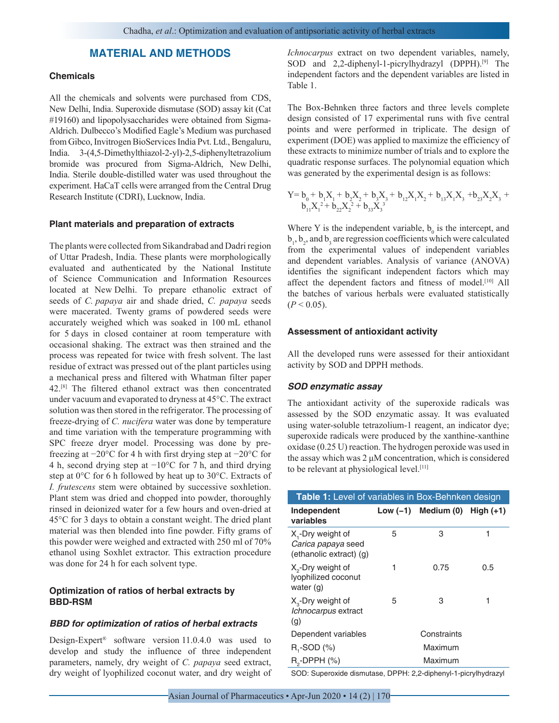# **MATERIAL AND METHODS**

# **Chemicals**

All the chemicals and solvents were purchased from CDS, New Delhi, India. Superoxide dismutase (SOD) assay kit (Cat #19160) and lipopolysaccharides were obtained from Sigma-Aldrich. Dulbecco's Modified Eagle's Medium was purchased from Gibco, Invitrogen BioServices India Pvt. Ltd., Bengaluru, India. 3-(4,5-Dimethylthiazol-2-yl)-2,5-diphenyltetrazolium bromide was procured from Sigma-Aldrich, New Delhi, India. Sterile double-distilled water was used throughout the experiment. HaCaT cells were arranged from the Central Drug Research Institute (CDRI), Lucknow, India.

#### **Plant materials and preparation of extracts**

The plants were collected from Sikandrabad and Dadri region of Uttar Pradesh, India. These plants were morphologically evaluated and authenticated by the National Institute of Science Communication and Information Resources located at New Delhi. To prepare ethanolic extract of seeds of *C. papaya* air and shade dried, *C. papaya* seeds were macerated. Twenty grams of powdered seeds were accurately weighed which was soaked in 100 mL ethanol for 5 days in closed container at room temperature with occasional shaking. The extract was then strained and the process was repeated for twice with fresh solvent. The last residue of extract was pressed out of the plant particles using a mechanical press and filtered with Whatman filter paper 42.[8] The filtered ethanol extract was then concentrated under vacuum and evaporated to dryness at 45°C. The extract solution was then stored in the refrigerator. The processing of freeze-drying of *C. nucifera* water was done by temperature and time variation with the temperature programming with SPC freeze dryer model. Processing was done by prefreezing at −20°C for 4 h with first drying step at −20°C for 4 h, second drying step at −10°C for 7 h, and third drying step at 0°C for 6 h followed by heat up to 30°C. Extracts of *I. frutescens* stem were obtained by successive soxhletion. Plant stem was dried and chopped into powder, thoroughly rinsed in deionized water for a few hours and oven-dried at 45°C for 3 days to obtain a constant weight. The dried plant material was then blended into fine powder. Fifty grams of this powder were weighed and extracted with 250 ml of 70% ethanol using Soxhlet extractor. This extraction procedure was done for 24 h for each solvent type.

## **Optimization of ratios of herbal extracts by BBD-RSM**

#### *BBD for optimization of ratios of herbal extracts*

Design-Expert® software version 11.0.4.0 was used to develop and study the influence of three independent parameters, namely, dry weight of *C. papaya* seed extract, dry weight of lyophilized coconut water, and dry weight of *Ichnocarpus* extract on two dependent variables, namely, SOD and 2,2-diphenyl-1-picrylhydrazyl (DPPH).<sup>[9]</sup> The independent factors and the dependent variables are listed in Table 1.

The Box-Behnken three factors and three levels complete design consisted of 17 experimental runs with five central points and were performed in triplicate. The design of experiment (DOE) was applied to maximize the efficiency of these extracts to minimize number of trials and to explore the quadratic response surfaces. The polynomial equation which was generated by the experimental design is as follows:

$$
Y\hspace{-8pt}=\hspace{-1pt} b_0^{}+b_1^{}X_1^{}+b_2^{}X_2^{}+b_3^{}X_3^{}+b_{12}^{}X_1^{}X_2^{}+b_{13}^{}X_1^{}X_3^{}+b_{23}^{}X_2^{}X_3^{}+b_{11}^{}X_1^{}^2+b_{22}^{}X_2^2^{}+b_{33}^{}X_3^{}^3
$$

Where Y is the independent variable,  $b_0$  is the intercept, and  $b_1$ ,  $b_2$ , and  $b_3$  are regression coefficients which were calculated from the experimental values of independent variables and dependent variables. Analysis of variance (ANOVA) identifies the significant independent factors which may affect the dependent factors and fitness of model.<sup>[10]</sup> All the batches of various herbals were evaluated statistically  $(P < 0.05)$ .

#### **Assessment of antioxidant activity**

All the developed runs were assessed for their antioxidant activity by SOD and DPPH methods.

# *SOD enzymatic assay*

The antioxidant activity of the superoxide radicals was assessed by the SOD enzymatic assay. It was evaluated using water-soluble tetrazolium-1 reagent, an indicator dye; superoxide radicals were produced by the xanthine-xanthine oxidase (0.25 U) reaction. The hydrogen peroxide was used in the assay which was 2 μM concentration, which is considered to be relevant at physiological level.<sup>[11]</sup>

| Table 1: Level of variables in Box-Behnken design                              |   |                                     |     |  |  |  |  |  |
|--------------------------------------------------------------------------------|---|-------------------------------------|-----|--|--|--|--|--|
| Independent<br>variables                                                       |   | Low $(-1)$ Medium $(0)$ High $(+1)$ |     |  |  |  |  |  |
| X <sub>1</sub> -Dry weight of<br>Carica papaya seed<br>(ethanolic extract) (g) | 5 | З                                   | 1   |  |  |  |  |  |
| X <sub>2</sub> -Dry weight of<br>lyophilized coconut<br>water $(q)$            | 1 | 0.75                                | 0.5 |  |  |  |  |  |
| $X_{\alpha}$ -Dry weight of<br>Ichnocarpus extract<br>(g)                      | 5 | 3                                   | 1   |  |  |  |  |  |
| Dependent variables                                                            |   | Constraints                         |     |  |  |  |  |  |
| $R,$ -SOD $(%)$                                                                |   | Maximum                             |     |  |  |  |  |  |
| $R_{\circ}$ -DPPH $(\%)$                                                       |   | Maximum                             |     |  |  |  |  |  |

SOD: Superoxide dismutase, DPPH: 2,2-diphenyl-1-picrylhydrazyl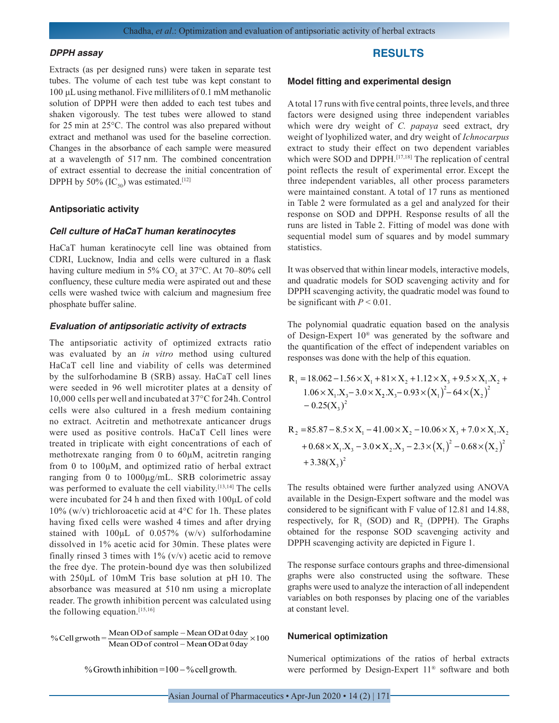#### *DPPH assay*

Extracts (as per designed runs) were taken in separate test tubes. The volume of each test tube was kept constant to 100 μL using methanol. Five milliliters of 0.1 mM methanolic solution of DPPH were then added to each test tubes and shaken vigorously. The test tubes were allowed to stand for 25 min at 25°C. The control was also prepared without extract and methanol was used for the baseline correction. Changes in the absorbance of each sample were measured at a wavelength of 517 nm. The combined concentration of extract essential to decrease the initial concentration of DPPH by 50% (IC<sub>50</sub>) was estimated.<sup>[12]</sup>

#### **Antipsoriatic activity**

#### *Cell culture of HaCaT human keratinocytes*

HaCaT human keratinocyte cell line was obtained from CDRI, Lucknow, India and cells were cultured in a flask having culture medium in  $5\%$  CO<sub>2</sub> at  $37^{\circ}$ C. At  $70-80\%$  cell confluency, these culture media were aspirated out and these cells were washed twice with calcium and magnesium free phosphate buffer saline.

#### *Evaluation of antipsoriatic activity of extracts*

The antipsoriatic activity of optimized extracts ratio was evaluated by an *in vitro* method using cultured HaCaT cell line and viability of cells was determined by the sulforhodamine B (SRB) assay. HaCaT cell lines were seeded in 96 well microtiter plates at a density of 10,000 cells per well and incubated at 37°C for 24h. Control cells were also cultured in a fresh medium containing no extract. Acitretin and methotrexate anticancer drugs were used as positive controls. HaCaT Cell lines were treated in triplicate with eight concentrations of each of methotrexate ranging from 0 to 60μM, acitretin ranging from 0 to 100μM, and optimized ratio of herbal extract ranging from 0 to 1000μg/mL. SRB colorimetric assay was performed to evaluate the cell viability.<sup>[13,14]</sup> The cells were incubated for 24 h and then fixed with 100μL of cold 10% (w/v) trichloroacetic acid at  $4^{\circ}$ C for 1h. These plates having fixed cells were washed 4 times and after drying stained with 100μL of 0.057% (w/v) sulforhodamine dissolved in 1% acetic acid for 30min. These plates were finally rinsed 3 times with  $1\%$  (v/v) acetic acid to remove the free dye. The protein-bound dye was then solubilized with 250μL of 10mM Tris base solution at pH 10. The absorbance was measured at 510 nm using a microplate reader. The growth inhibition percent was calculated using the following equation. $[15,16]$ 

% Cell grwoth =  $\frac{\text{Mean OD of sample} - \text{Mean OD at 0 day}}{\text{Mean OD of control} - \text{Mean OD at 0 day}}$ -  $\frac{- \text{Mean OD at } 0 \text{ day}}{- \text{Mean OD at } 0 \text{ day}} \times 100$ 

% Growth inhibition =  $100 - %$  cell growth.

# **RESULTS**

#### **Model fitting and experimental design**

A total 17 runs with five central points, three levels, and three factors were designed using three independent variables which were dry weight of *C. papaya* seed extract, dry weight of lyophilized water, and dry weight of *Ichnocarpus* extract to study their effect on two dependent variables which were SOD and DPPH.<sup>[17,18]</sup> The replication of central point reflects the result of experimental error. Except the three independent variables, all other process parameters were maintained constant. A total of 17 runs as mentioned in Table 2 were formulated as a gel and analyzed for their response on SOD and DPPH. Response results of all the runs are listed in Table 2. Fitting of model was done with sequential model sum of squares and by model summary statistics.

It was observed that within linear models, interactive models, and quadratic models for SOD scavenging activity and for DPPH scavenging activity, the quadratic model was found to be significant with  $P < 0.01$ .

The polynomial quadratic equation based on the analysis of Design-Expert 10® was generated by the software and the quantification of the effect of independent variables on responses was done with the help of this equation.

$$
R_1 = 18.062 - 1.56 \times X_1 + 81 \times X_2 + 1.12 \times X_3 + 9.5 \times X_1.X_2 + 1.06 \times X_1.X_3 - 3.0 \times X_2.X_3 - 0.93 \times (X_1)^2 - 64 \times (X_2)^2 - 0.25(X_3)^2
$$

$$
R_2 = 85.87 - 8.5 \times X_1 - 41.00 \times X_2 - 10.06 \times X_3 + 7.0 \times X_1.X_2
$$
  
+ 0.68 × X<sub>1</sub>.X<sub>3</sub> - 3.0 × X<sub>2</sub>.X<sub>3</sub> - 2.3 × (X<sub>1</sub>)<sup>2</sup> - 0.68 × (X<sub>2</sub>)<sup>2</sup>  
+ 3.38(X<sub>3</sub>)<sup>2</sup>

The results obtained were further analyzed using ANOVA available in the Design-Expert software and the model was considered to be significant with F value of 12.81 and 14.88, respectively, for  $R_1$  (SOD) and  $R_2$  (DPPH). The Graphs obtained for the response SOD scavenging activity and DPPH scavenging activity are depicted in Figure 1.

The response surface contours graphs and three-dimensional graphs were also constructed using the software. These graphs were used to analyze the interaction of all independent variables on both responses by placing one of the variables at constant level.

#### **Numerical optimization**

Numerical optimizations of the ratios of herbal extracts were performed by Design-Expert 11*®* software and both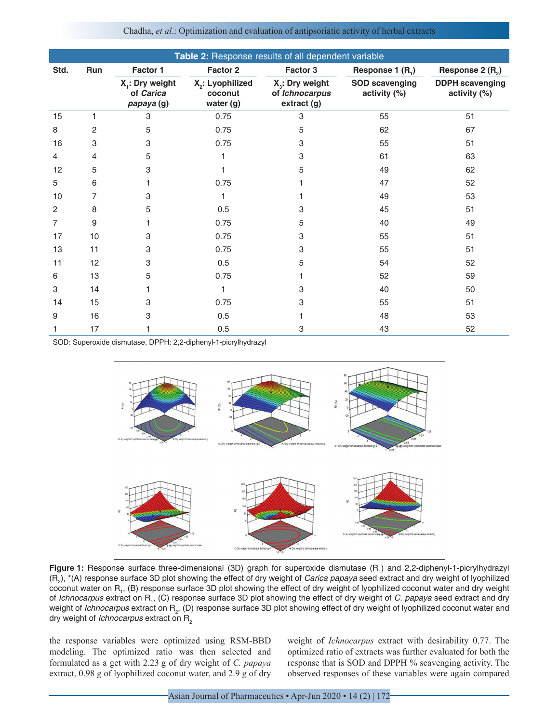| Table 2: Response results of all dependent variable |     |                                                        |                                             |                                                           |                                       |                                        |  |  |
|-----------------------------------------------------|-----|--------------------------------------------------------|---------------------------------------------|-----------------------------------------------------------|---------------------------------------|----------------------------------------|--|--|
| Std.                                                | Run | Factor 1                                               | Factor 2                                    | Factor 3                                                  | Response 1 $(R_1)$                    | Response 2 (R <sub>2</sub> )           |  |  |
|                                                     |     | X <sub>1</sub> : Dry weight<br>of Carica<br>papaya (g) | $X_2$ : Lyophilized<br>coconut<br>water (g) | $X3$ : Dry weight<br>of <i>Ichnocarpus</i><br>extract (g) | <b>SOD scavenging</b><br>activity (%) | <b>DDPH</b> scavenging<br>activity (%) |  |  |
| 15                                                  | 1   | 3                                                      | 0.75                                        | 3                                                         | 55                                    | 51                                     |  |  |
| 8                                                   | 2   | 5                                                      | 0.75                                        | 5                                                         | 62                                    | 67                                     |  |  |
| 16                                                  | 3   | 3                                                      | 0.75                                        | 3                                                         | 55                                    | 51                                     |  |  |
| 4                                                   | 4   | 5                                                      |                                             | 3                                                         | 61                                    | 63                                     |  |  |
| 12                                                  | 5   | 3                                                      |                                             | 5                                                         | 49                                    | 62                                     |  |  |
| 5                                                   | 6   | 1                                                      | 0.75                                        |                                                           | 47                                    | 52                                     |  |  |
| 10                                                  | 7   | 3                                                      |                                             |                                                           | 49                                    | 53                                     |  |  |
| $\overline{2}$                                      | 8   | 5                                                      | 0.5                                         | 3                                                         | 45                                    | 51                                     |  |  |
| 7                                                   | 9   |                                                        | 0.75                                        | 5                                                         | 40                                    | 49                                     |  |  |
| 17                                                  | 10  | 3                                                      | 0.75                                        | 3                                                         | 55                                    | 51                                     |  |  |
| 13                                                  | 11  | 3                                                      | 0.75                                        | 3                                                         | 55                                    | 51                                     |  |  |
| 11                                                  | 12  | 3                                                      | 0.5                                         | 5                                                         | 54                                    | 52                                     |  |  |
| 6                                                   | 13  | 5                                                      | 0.75                                        |                                                           | 52                                    | 59                                     |  |  |
| 3                                                   | 14  | 1                                                      | 1                                           | 3                                                         | 40                                    | 50                                     |  |  |
| 14                                                  | 15  | 3                                                      | 0.75                                        | 3                                                         | 55                                    | 51                                     |  |  |
| 9                                                   | 16  | 3                                                      | 0.5                                         |                                                           | 48                                    | 53                                     |  |  |
|                                                     | 17  |                                                        | 0.5                                         | 3                                                         | 43                                    | 52                                     |  |  |

Chadha, *et al*.: Optimization and evaluation of antipsoriatic activity of herbal extracts

SOD: Superoxide dismutase, DPPH: 2,2-diphenyl-1-picrylhydrazyl



Figure 1: Response surface three-dimensional (3D) graph for superoxide dismutase (R<sub>1</sub>) and 2,2-diphenyl-1-picrylhydrazyl (R<sub>2</sub>), \*(A) response surface 3D plot showing the effect of dry weight of *Carica papaya* seed extract and dry weight of lyophilized coconut water on R<sub>1</sub>, (B) response surface 3D plot showing the effect of dry weight of lyophilized coconut water and dry weight of *Ichnocarpus* extract on R<sub>1</sub>, (C) response surface 3D plot showing the effect of dry weight of *C. papaya* seed extract and dry weight of *Ichnocarpus* extract on R<sub>2</sub>, (D) response surface 3D plot showing effect of dry weight of lyophilized coconut water and dry weight of *Ichnocarpus* extract on R<sub>2</sub>

the response variables were optimized using RSM-BBD modeling. The optimized ratio was then selected and formulated as a get with 2.23 g of dry weight of *C. papaya* extract, 0.98 g of lyophilized coconut water, and 2.9 g of dry weight of *Ichnocarpus* extract with desirability 0.77. The optimized ratio of extracts was further evaluated for both the response that is SOD and DPPH % scavenging activity. The observed responses of these variables were again compared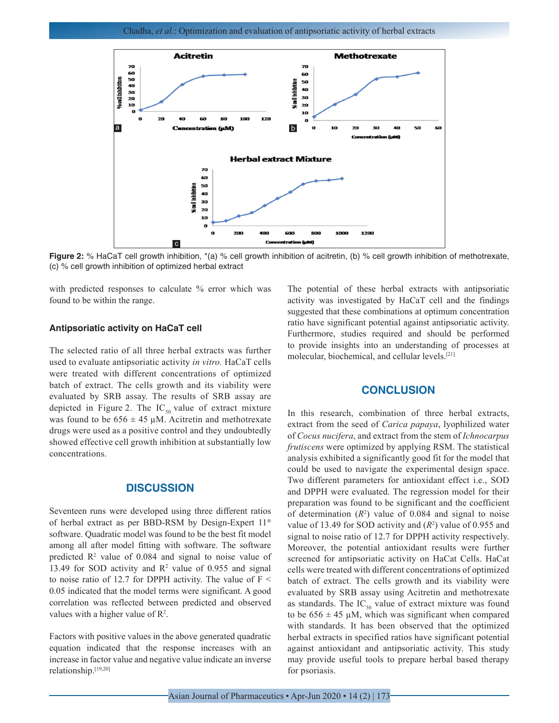

**Figure 2:** % HaCaT cell growth inhibition, \*(a) % cell growth inhibition of acitretin, (b) % cell growth inhibition of methotrexate, (c) % cell growth inhibition of optimized herbal extract

with predicted responses to calculate % error which was found to be within the range.

## **Antipsoriatic activity on HaCaT cell**

The selected ratio of all three herbal extracts was further used to evaluate antipsoriatic activity *in vitro.* HaCaT cells were treated with different concentrations of optimized batch of extract. The cells growth and its viability were evaluated by SRB assay. The results of SRB assay are depicted in Figure 2. The  $IC_{50}$  value of extract mixture was found to be  $656 \pm 45 \mu M$ . Acitretin and methotrexate drugs were used as a positive control and they undoubtedly showed effective cell growth inhibition at substantially low concentrations.

# **DISCUSSION**

Seventeen runs were developed using three different ratios of herbal extract as per BBD-RSM by Design-Expert 11*®* software. Quadratic model was found to be the best fit model among all after model fitting with software. The software predicted  $\mathbb{R}^2$  value of 0.084 and signal to noise value of 13.49 for SOD activity and  $R^2$  value of 0.955 and signal to noise ratio of 12.7 for DPPH activity. The value of  $F <$ 0.05 indicated that the model terms were significant. A good correlation was reflected between predicted and observed values with a higher value of  $\mathbb{R}^2$ .

Factors with positive values in the above generated quadratic equation indicated that the response increases with an increase in factor value and negative value indicate an inverse relationship.[19,20]

The potential of these herbal extracts with antipsoriatic activity was investigated by HaCaT cell and the findings suggested that these combinations at optimum concentration ratio have significant potential against antipsoriatic activity. Furthermore, studies required and should be performed to provide insights into an understanding of processes at molecular, biochemical, and cellular levels.[21]

# **CONCLUSION**

In this research, combination of three herbal extracts, extract from the seed of *Carica papaya*, lyophilized water of *Cocus nucifera*, and extract from the stem of *Ichnocarpus frutiscens* were optimized by applying RSM. The statistical analysis exhibited a significantly good fit for the model that could be used to navigate the experimental design space. Two different parameters for antioxidant effect i.e., SOD and DPPH were evaluated. The regression model for their preparation was found to be significant and the coefficient of determination  $(R^2)$  value of 0.084 and signal to noise value of 13.49 for SOD activity and  $(R^2)$  value of 0.955 and signal to noise ratio of 12.7 for DPPH activity respectively. Moreover, the potential antioxidant results were further screened for antipsoriatic activity on HaCat Cells. HaCat cells were treated with different concentrations of optimized batch of extract. The cells growth and its viability were evaluated by SRB assay using Acitretin and methotrexate as standards. The  $IC_{50}$  value of extract mixture was found to be  $656 \pm 45$  µM, which was significant when compared with standards. It has been observed that the optimized herbal extracts in specified ratios have significant potential against antioxidant and antipsoriatic activity. This study may provide useful tools to prepare herbal based therapy for psoriasis.